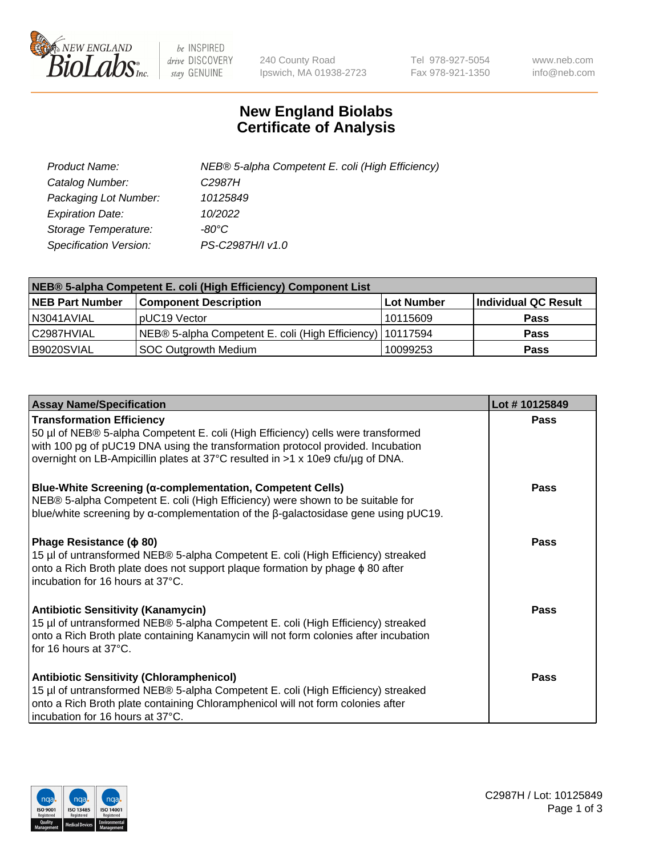

 $be$  INSPIRED drive DISCOVERY stay GENUINE

240 County Road Ipswich, MA 01938-2723 Tel 978-927-5054 Fax 978-921-1350 www.neb.com info@neb.com

## **New England Biolabs Certificate of Analysis**

| Product Name:           | NEB® 5-alpha Competent E. coli (High Efficiency) |
|-------------------------|--------------------------------------------------|
| Catalog Number:         | C <sub>2987</sub> H                              |
| Packaging Lot Number:   | 10125849                                         |
| <b>Expiration Date:</b> | 10/2022                                          |
| Storage Temperature:    | -80°C                                            |
| Specification Version:  | PS-C2987H/I v1.0                                 |

| NEB® 5-alpha Competent E. coli (High Efficiency) Component List |                                                             |            |                      |  |
|-----------------------------------------------------------------|-------------------------------------------------------------|------------|----------------------|--|
| <b>NEB Part Number</b>                                          | <b>Component Description</b>                                | Lot Number | Individual QC Result |  |
| N3041AVIAL                                                      | pUC19 Vector                                                | 10115609   | <b>Pass</b>          |  |
| C2987HVIAL                                                      | NEB® 5-alpha Competent E. coli (High Efficiency)   10117594 |            | <b>Pass</b>          |  |
| B9020SVIAL                                                      | SOC Outgrowth Medium                                        | 10099253   | <b>Pass</b>          |  |

| <b>Assay Name/Specification</b>                                                                                                                                                                                                                                                           | Lot #10125849 |
|-------------------------------------------------------------------------------------------------------------------------------------------------------------------------------------------------------------------------------------------------------------------------------------------|---------------|
| <b>Transformation Efficiency</b><br>50 µl of NEB® 5-alpha Competent E. coli (High Efficiency) cells were transformed<br>with 100 pg of pUC19 DNA using the transformation protocol provided. Incubation<br>overnight on LB-Ampicillin plates at 37°C resulted in >1 x 10e9 cfu/µg of DNA. | Pass          |
| <b>Blue-White Screening (α-complementation, Competent Cells)</b><br>NEB® 5-alpha Competent E. coli (High Efficiency) were shown to be suitable for<br>blue/white screening by $\alpha$ -complementation of the $\beta$ -galactosidase gene using pUC19.                                   | Pass          |
| Phage Resistance ( $\phi$ 80)<br>15 µl of untransformed NEB® 5-alpha Competent E. coli (High Efficiency) streaked<br>onto a Rich Broth plate does not support plaque formation by phage $\phi$ 80 after<br>incubation for 16 hours at 37°C.                                               | Pass          |
| <b>Antibiotic Sensitivity (Kanamycin)</b><br>15 µl of untransformed NEB® 5-alpha Competent E. coli (High Efficiency) streaked<br>onto a Rich Broth plate containing Kanamycin will not form colonies after incubation<br>for 16 hours at 37°C.                                            | Pass          |
| <b>Antibiotic Sensitivity (Chloramphenicol)</b><br>15 µl of untransformed NEB® 5-alpha Competent E. coli (High Efficiency) streaked<br>onto a Rich Broth plate containing Chloramphenicol will not form colonies after<br>incubation for 16 hours at 37°C.                                | <b>Pass</b>   |

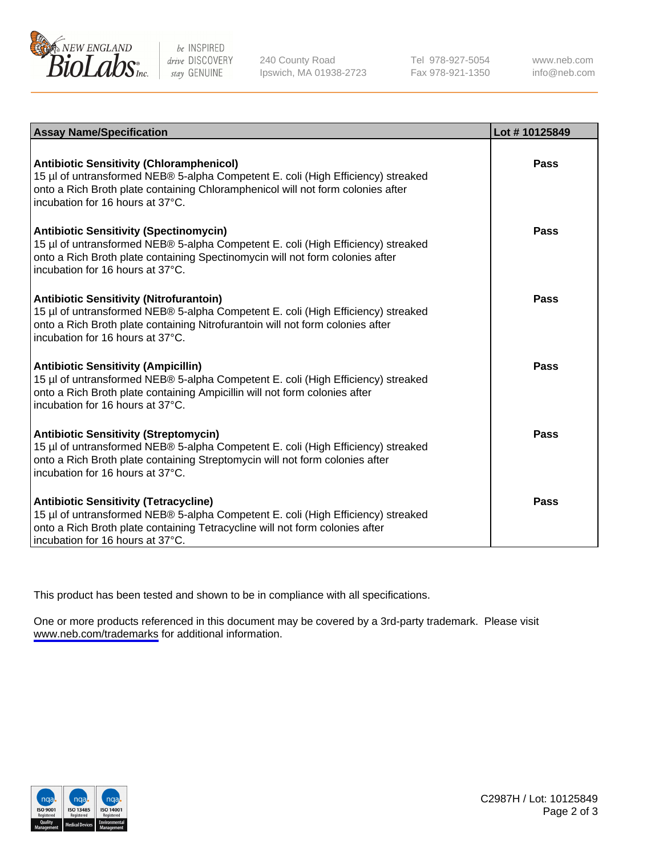

be INSPIRED drive DISCOVERY stay GENUINE

240 County Road Ipswich, MA 01938-2723 Tel 978-927-5054 Fax 978-921-1350

www.neb.com info@neb.com

| <b>Assay Name/Specification</b>                                                                                                                                                                                                                            | Lot #10125849 |
|------------------------------------------------------------------------------------------------------------------------------------------------------------------------------------------------------------------------------------------------------------|---------------|
| <b>Antibiotic Sensitivity (Chloramphenicol)</b><br>15 µl of untransformed NEB® 5-alpha Competent E. coli (High Efficiency) streaked<br>onto a Rich Broth plate containing Chloramphenicol will not form colonies after<br>incubation for 16 hours at 37°C. | Pass          |
| <b>Antibiotic Sensitivity (Spectinomycin)</b><br>15 µl of untransformed NEB® 5-alpha Competent E. coli (High Efficiency) streaked<br>onto a Rich Broth plate containing Spectinomycin will not form colonies after<br>incubation for 16 hours at 37°C.     | Pass          |
| <b>Antibiotic Sensitivity (Nitrofurantoin)</b><br>15 µl of untransformed NEB® 5-alpha Competent E. coli (High Efficiency) streaked<br>onto a Rich Broth plate containing Nitrofurantoin will not form colonies after<br>incubation for 16 hours at 37°C.   | Pass          |
| <b>Antibiotic Sensitivity (Ampicillin)</b><br>15 µl of untransformed NEB® 5-alpha Competent E. coli (High Efficiency) streaked<br>onto a Rich Broth plate containing Ampicillin will not form colonies after<br>incubation for 16 hours at 37°C.           | <b>Pass</b>   |
| <b>Antibiotic Sensitivity (Streptomycin)</b><br>15 µl of untransformed NEB® 5-alpha Competent E. coli (High Efficiency) streaked<br>onto a Rich Broth plate containing Streptomycin will not form colonies after<br>incubation for 16 hours at 37°C.       | Pass          |
| <b>Antibiotic Sensitivity (Tetracycline)</b><br>15 µl of untransformed NEB® 5-alpha Competent E. coli (High Efficiency) streaked<br>onto a Rich Broth plate containing Tetracycline will not form colonies after<br>incubation for 16 hours at 37°C.       | Pass          |

This product has been tested and shown to be in compliance with all specifications.

One or more products referenced in this document may be covered by a 3rd-party trademark. Please visit <www.neb.com/trademarks>for additional information.